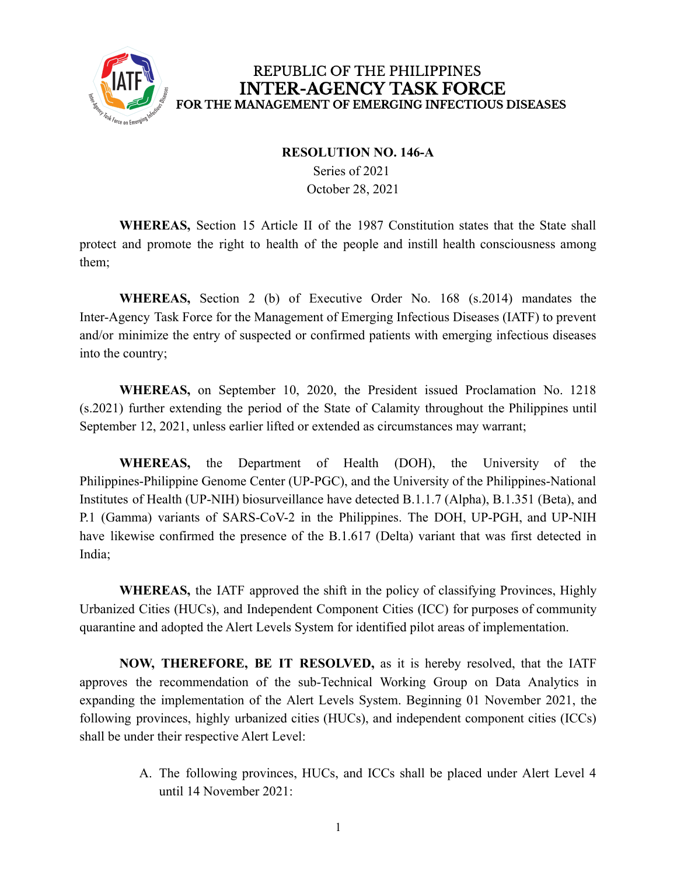

#### **RESOLUTION NO. 146-A**

Series of 2021 October 28, 2021

**WHEREAS,** Section 15 Article II of the 1987 Constitution states that the State shall protect and promote the right to health of the people and instill health consciousness among them;

**WHEREAS,** Section 2 (b) of Executive Order No. 168 (s.2014) mandates the Inter-Agency Task Force for the Management of Emerging Infectious Diseases (IATF) to prevent and/or minimize the entry of suspected or confirmed patients with emerging infectious diseases into the country;

**WHEREAS,** on September 10, 2020, the President issued Proclamation No. 1218 (s.2021) further extending the period of the State of Calamity throughout the Philippines until September 12, 2021, unless earlier lifted or extended as circumstances may warrant;

**WHEREAS,** the Department of Health (DOH), the University of the Philippines-Philippine Genome Center (UP-PGC), and the University of the Philippines-National Institutes of Health (UP-NIH) biosurveillance have detected B.1.1.7 (Alpha), B.1.351 (Beta), and P.1 (Gamma) variants of SARS-CoV-2 in the Philippines. The DOH, UP-PGH, and UP-NIH have likewise confirmed the presence of the B.1.617 (Delta) variant that was first detected in India;

**WHEREAS,** the IATF approved the shift in the policy of classifying Provinces, Highly Urbanized Cities (HUCs), and Independent Component Cities (ICC) for purposes of community quarantine and adopted the Alert Levels System for identified pilot areas of implementation.

**NOW, THEREFORE, BE IT RESOLVED,** as it is hereby resolved, that the IATF approves the recommendation of the sub-Technical Working Group on Data Analytics in expanding the implementation of the Alert Levels System. Beginning 01 November 2021, the following provinces, highly urbanized cities (HUCs), and independent component cities (ICCs) shall be under their respective Alert Level:

> A. The following provinces, HUCs, and ICCs shall be placed under Alert Level 4 until 14 November 2021: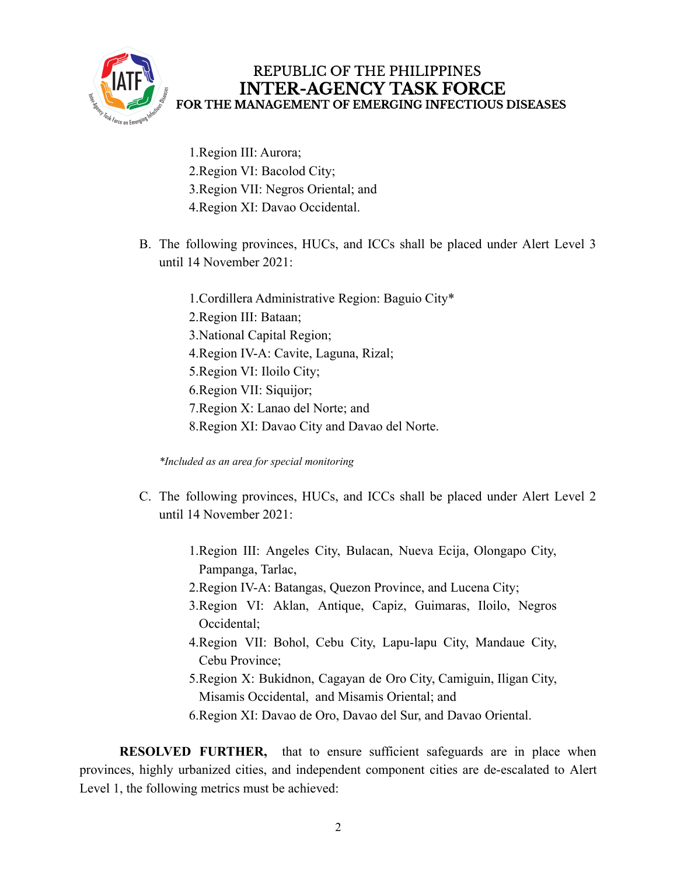

- 1.Region III: Aurora; 2.Region VI: Bacolod City; 3.Region VII: Negros Oriental; and 4.Region XI: Davao Occidental.
- B. The following provinces, HUCs, and ICCs shall be placed under Alert Level 3 until 14 November 2021:
	- 1.Cordillera Administrative Region: Baguio City\* 2.Region III: Bataan; 3.National Capital Region; 4.Region IV-A: Cavite, Laguna, Rizal; 5.Region VI: Iloilo City; 6.Region VII: Siquijor; 7.Region X: Lanao del Norte; and 8.Region XI: Davao City and Davao del Norte.

*\*Included as an area for special monitoring*

- C. The following provinces, HUCs, and ICCs shall be placed under Alert Level 2 until 14 November 2021:
	- 1.Region III: Angeles City, Bulacan, Nueva Ecija, Olongapo City, Pampanga, Tarlac,
	- 2.Region IV-A: Batangas, Quezon Province, and Lucena City;
	- 3.Region VI: Aklan, Antique, Capiz, Guimaras, Iloilo, Negros Occidental;
	- 4.Region VII: Bohol, Cebu City, Lapu-lapu City, Mandaue City, Cebu Province;
	- 5.Region X: Bukidnon, Cagayan de Oro City, Camiguin, Iligan City, Misamis Occidental, and Misamis Oriental; and
	- 6.Region XI: Davao de Oro, Davao del Sur, and Davao Oriental.

**RESOLVED FURTHER,** that to ensure sufficient safeguards are in place when provinces, highly urbanized cities, and independent component cities are de-escalated to Alert Level 1, the following metrics must be achieved: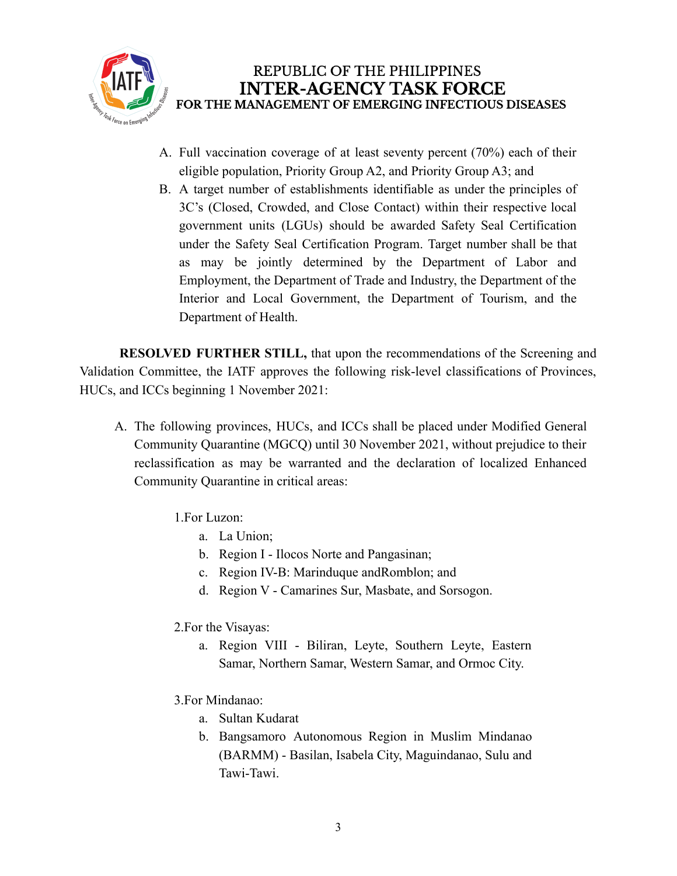

- A. Full vaccination coverage of at least seventy percent (70%) each of their eligible population, Priority Group A2, and Priority Group A3; and
- B. A target number of establishments identifiable as under the principles of 3C's (Closed, Crowded, and Close Contact) within their respective local government units (LGUs) should be awarded Safety Seal Certification under the Safety Seal Certification Program. Target number shall be that as may be jointly determined by the Department of Labor and Employment, the Department of Trade and Industry, the Department of the Interior and Local Government, the Department of Tourism, and the Department of Health.

**RESOLVED FURTHER STILL,** that upon the recommendations of the Screening and Validation Committee, the IATF approves the following risk-level classifications of Provinces, HUCs, and ICCs beginning 1 November 2021:

- A. The following provinces, HUCs, and ICCs shall be placed under Modified General Community Quarantine (MGCQ) until 30 November 2021, without prejudice to their reclassification as may be warranted and the declaration of localized Enhanced Community Quarantine in critical areas:
	- 1.For Luzon:
		- a. La Union;
		- b. Region I Ilocos Norte and Pangasinan;
		- c. Region IV-B: Marinduque andRomblon; and
		- d. Region V Camarines Sur, Masbate, and Sorsogon.
	- 2.For the Visayas:
		- a. Region VIII Biliran, Leyte, Southern Leyte, Eastern Samar, Northern Samar, Western Samar, and Ormoc City.
	- 3.For Mindanao:
		- a. Sultan Kudarat
		- b. Bangsamoro Autonomous Region in Muslim Mindanao (BARMM) - Basilan, Isabela City, Maguindanao, Sulu and Tawi-Tawi.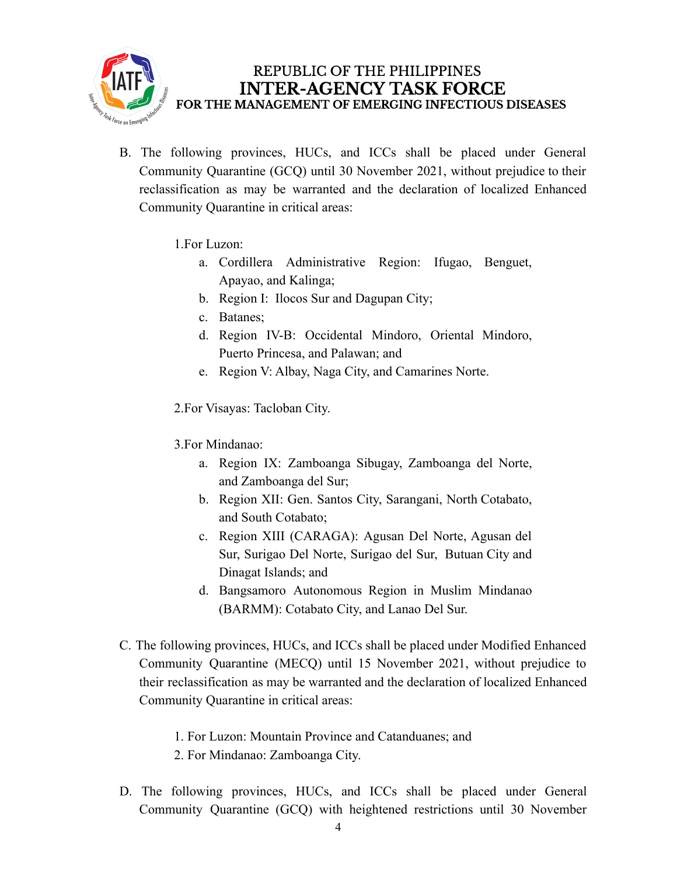

- B. The following provinces, HUCs, and ICCs shall be placed under General Community Quarantine (GCQ) until 30 November 2021, without prejudice to their reclassification as may be warranted and the declaration of localized Enhanced Community Quarantine in critical areas:
	- 1.For Luzon:
		- a. Cordillera Administrative Region: Ifugao, Benguet, Apayao, and Kalinga;
		- b. Region I: Ilocos Sur and Dagupan City;
		- c. Batanes;
		- d. Region IV-B: Occidental Mindoro, Oriental Mindoro, Puerto Princesa, and Palawan; and
		- e. Region V: Albay, Naga City, and Camarines Norte.

2.For Visayas: Tacloban City.

- 3.For Mindanao:
	- a. Region IX: Zamboanga Sibugay, Zamboanga del Norte, and Zamboanga del Sur;
	- b. Region XII: Gen. Santos City, Sarangani, North Cotabato, and South Cotabato;
	- c. Region XIII (CARAGA): Agusan Del Norte, Agusan del Sur, Surigao Del Norte, Surigao del Sur, Butuan City and Dinagat Islands; and
	- d. Bangsamoro Autonomous Region in Muslim Mindanao (BARMM): Cotabato City, and Lanao Del Sur.
- C. The following provinces, HUCs, and ICCs shall be placed under Modified Enhanced Community Quarantine (MECQ) until 15 November 2021, without prejudice to their reclassification as may be warranted and the declaration of localized Enhanced Community Quarantine in critical areas:
	- 1. For Luzon: Mountain Province and Catanduanes; and
	- 2. For Mindanao: Zamboanga City.
- D. The following provinces, HUCs, and ICCs shall be placed under General Community Quarantine (GCQ) with heightened restrictions until 30 November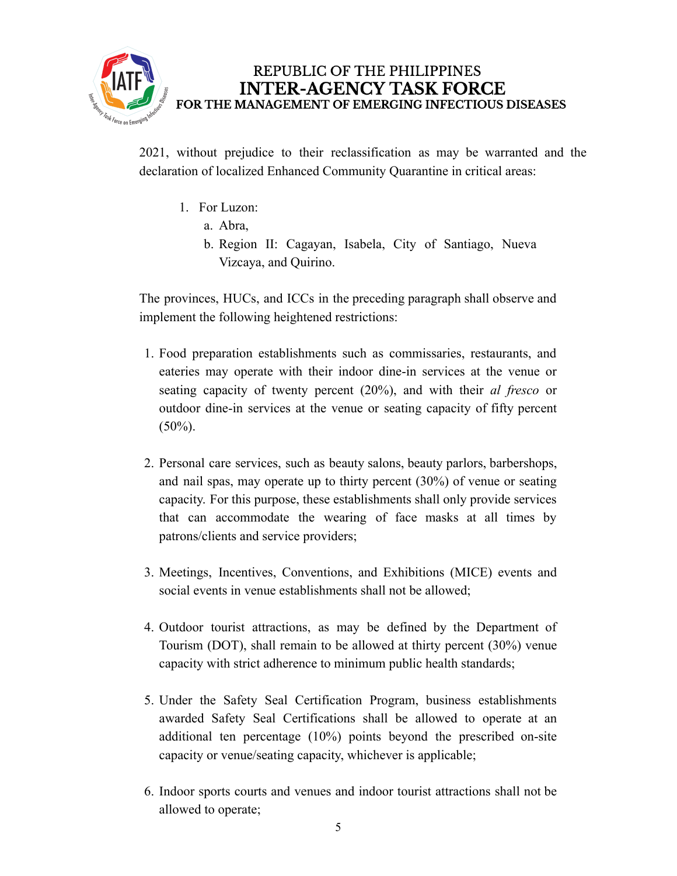

2021, without prejudice to their reclassification as may be warranted and the declaration of localized Enhanced Community Quarantine in critical areas:

- 1. For Luzon:
	- a. Abra,
	- b. Region II: Cagayan, Isabela, City of Santiago, Nueva Vizcaya, and Quirino.

The provinces, HUCs, and ICCs in the preceding paragraph shall observe and implement the following heightened restrictions:

- 1. Food preparation establishments such as commissaries, restaurants, and eateries may operate with their indoor dine-in services at the venue or seating capacity of twenty percent (20%), and with their *al fresco* or outdoor dine-in services at the venue or seating capacity of fifty percent  $(50\%)$ .
- 2. Personal care services, such as beauty salons, beauty parlors, barbershops, and nail spas, may operate up to thirty percent (30%) of venue or seating capacity. For this purpose, these establishments shall only provide services that can accommodate the wearing of face masks at all times by patrons/clients and service providers;
- 3. Meetings, Incentives, Conventions, and Exhibitions (MICE) events and social events in venue establishments shall not be allowed;
- 4. Outdoor tourist attractions, as may be defined by the Department of Tourism (DOT), shall remain to be allowed at thirty percent (30%) venue capacity with strict adherence to minimum public health standards;
- 5. Under the Safety Seal Certification Program, business establishments awarded Safety Seal Certifications shall be allowed to operate at an additional ten percentage (10%) points beyond the prescribed on-site capacity or venue/seating capacity, whichever is applicable;
- 6. Indoor sports courts and venues and indoor tourist attractions shall not be allowed to operate;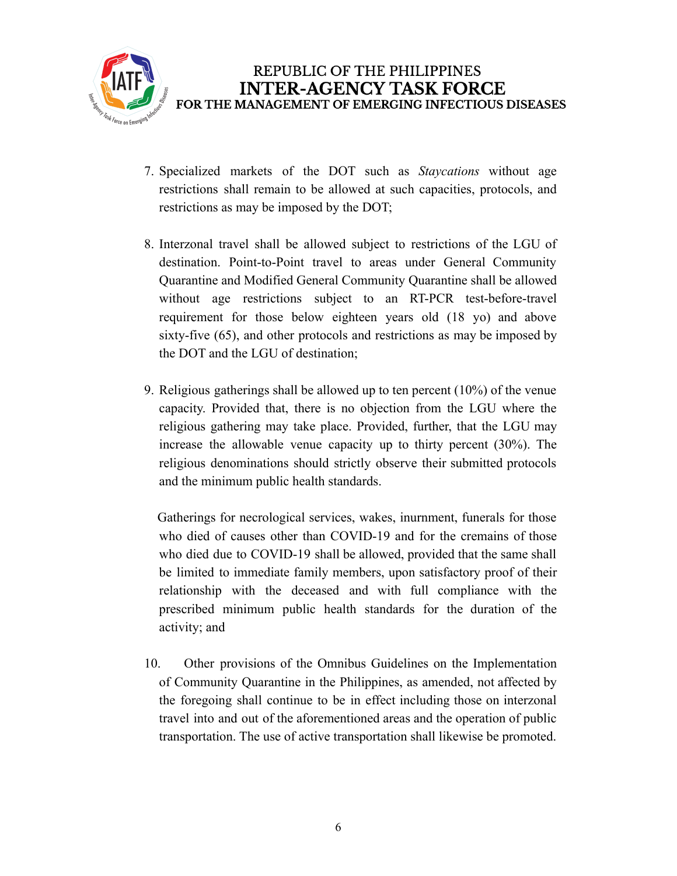

- 7. Specialized markets of the DOT such as *Staycations* without age restrictions shall remain to be allowed at such capacities, protocols, and restrictions as may be imposed by the DOT;
- 8. Interzonal travel shall be allowed subject to restrictions of the LGU of destination. Point-to-Point travel to areas under General Community Quarantine and Modified General Community Quarantine shall be allowed without age restrictions subject to an RT-PCR test-before-travel requirement for those below eighteen years old (18 yo) and above sixty-five (65), and other protocols and restrictions as may be imposed by the DOT and the LGU of destination;
- 9. Religious gatherings shall be allowed up to ten percent (10%) of the venue capacity. Provided that, there is no objection from the LGU where the religious gathering may take place. Provided, further, that the LGU may increase the allowable venue capacity up to thirty percent (30%). The religious denominations should strictly observe their submitted protocols and the minimum public health standards.

Gatherings for necrological services, wakes, inurnment, funerals for those who died of causes other than COVID-19 and for the cremains of those who died due to COVID-19 shall be allowed, provided that the same shall be limited to immediate family members, upon satisfactory proof of their relationship with the deceased and with full compliance with the prescribed minimum public health standards for the duration of the activity; and

10. Other provisions of the Omnibus Guidelines on the Implementation of Community Quarantine in the Philippines, as amended, not affected by the foregoing shall continue to be in effect including those on interzonal travel into and out of the aforementioned areas and the operation of public transportation. The use of active transportation shall likewise be promoted.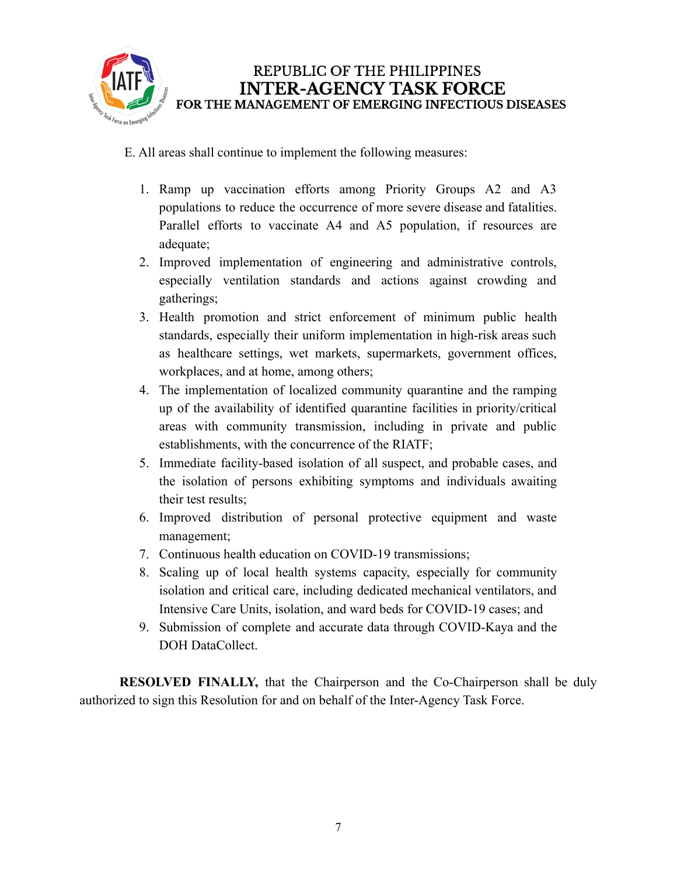

E. All areas shall continue to implement the following measures:

- 1. Ramp up vaccination efforts among Priority Groups A2 and A3 populations to reduce the occurrence of more severe disease and fatalities. Parallel efforts to vaccinate A4 and A5 population, if resources are adequate;
- 2. Improved implementation of engineering and administrative controls, especially ventilation standards and actions against crowding and gatherings;
- 3. Health promotion and strict enforcement of minimum public health standards, especially their uniform implementation in high-risk areas such as healthcare settings, wet markets, supermarkets, government offices, workplaces, and at home, among others;
- 4. The implementation of localized community quarantine and the ramping up of the availability of identified quarantine facilities in priority/critical areas with community transmission, including in private and public establishments, with the concurrence of the RIATF;
- 5. Immediate facility-based isolation of all suspect, and probable cases, and the isolation of persons exhibiting symptoms and individuals awaiting their test results;
- 6. Improved distribution of personal protective equipment and waste management;
- 7. Continuous health education on COVID-19 transmissions;
- 8. Scaling up of local health systems capacity, especially for community isolation and critical care, including dedicated mechanical ventilators, and Intensive Care Units, isolation, and ward beds for COVID-19 cases; and
- 9. Submission of complete and accurate data through COVID-Kaya and the DOH DataCollect.

**RESOLVED FINALLY,** that the Chairperson and the Co-Chairperson shall be duly authorized to sign this Resolution for and on behalf of the Inter-Agency Task Force.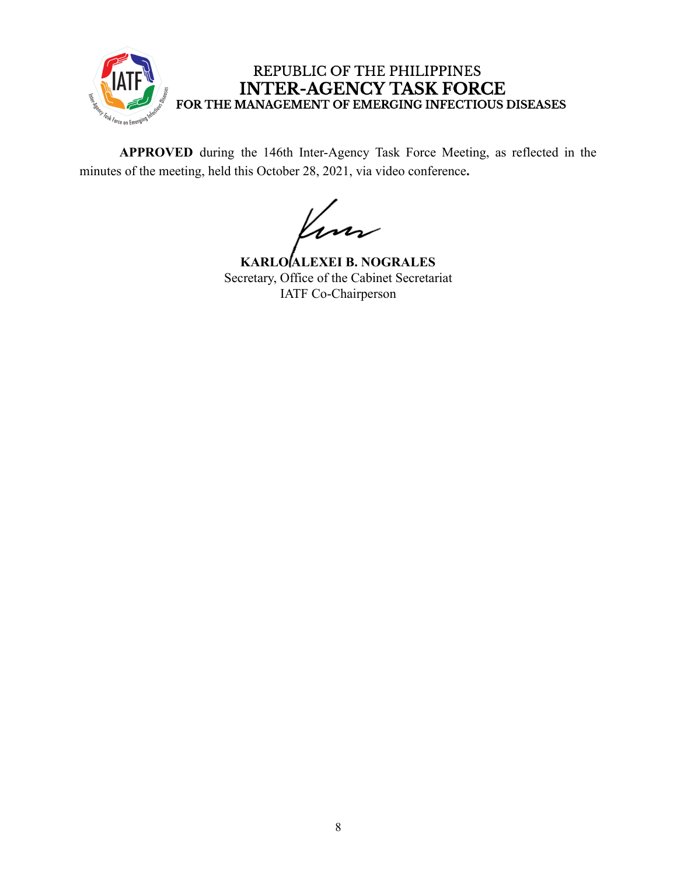

**APPROVED** during the 146th Inter-Agency Task Force Meeting, as reflected in the minutes of the meeting, held this October 28, 2021, via video conference**.**

m

**KARLO ALEXEI B. NOGRALES** Secretary, Office of the Cabinet Secretariat IATF Co-Chairperson